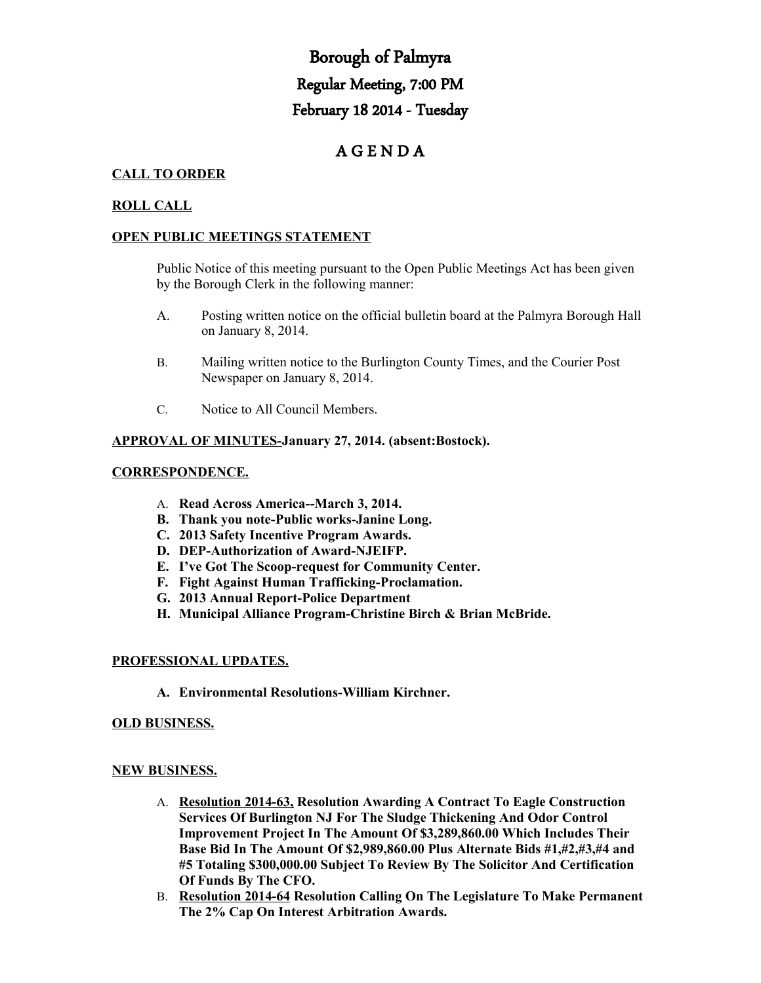# Borough of Palmyra Regular Meeting, 7:00 PM February 18 2014 - Tuesday

## A G E N D A

### **CALL TO ORDER**

#### **ROLL CALL**

#### **OPEN PUBLIC MEETINGS STATEMENT**

Public Notice of this meeting pursuant to the Open Public Meetings Act has been given by the Borough Clerk in the following manner:

- A. Posting written notice on the official bulletin board at the Palmyra Borough Hall on January 8, 2014.
- B. Mailing written notice to the Burlington County Times, and the Courier Post Newspaper on January 8, 2014.
- C. Notice to All Council Members.

#### **APPROVAL OF MINUTES-January 27, 2014. (absent:Bostock).**

#### **CORRESPONDENCE.**

- A. **Read Across America--March 3, 2014.**
- **B. Thank you note-Public works-Janine Long.**
- **C. 2013 Safety Incentive Program Awards.**
- **D. DEP-Authorization of Award-NJEIFP.**
- **E. I've Got The Scoop-request for Community Center.**
- **F. Fight Against Human Trafficking-Proclamation.**
- **G. 2013 Annual Report-Police Department**
- **H. Municipal Alliance Program-Christine Birch & Brian McBride.**

#### **PROFESSIONAL UPDATES.**

**A. Environmental Resolutions-William Kirchner.**

#### **OLD BUSINESS.**

#### **NEW BUSINESS.**

- A. **Resolution 2014-63, Resolution Awarding A Contract To Eagle Construction Services Of Burlington NJ For The Sludge Thickening And Odor Control Improvement Project In The Amount Of \$3,289,860.00 Which Includes Their Base Bid In The Amount Of \$2,989,860.00 Plus Alternate Bids #1,#2,#3,#4 and #5 Totaling \$300,000.00 Subject To Review By The Solicitor And Certification Of Funds By The CFO.**
- B. **Resolution 2014-64 Resolution Calling On The Legislature To Make Permanent The 2% Cap On Interest Arbitration Awards.**